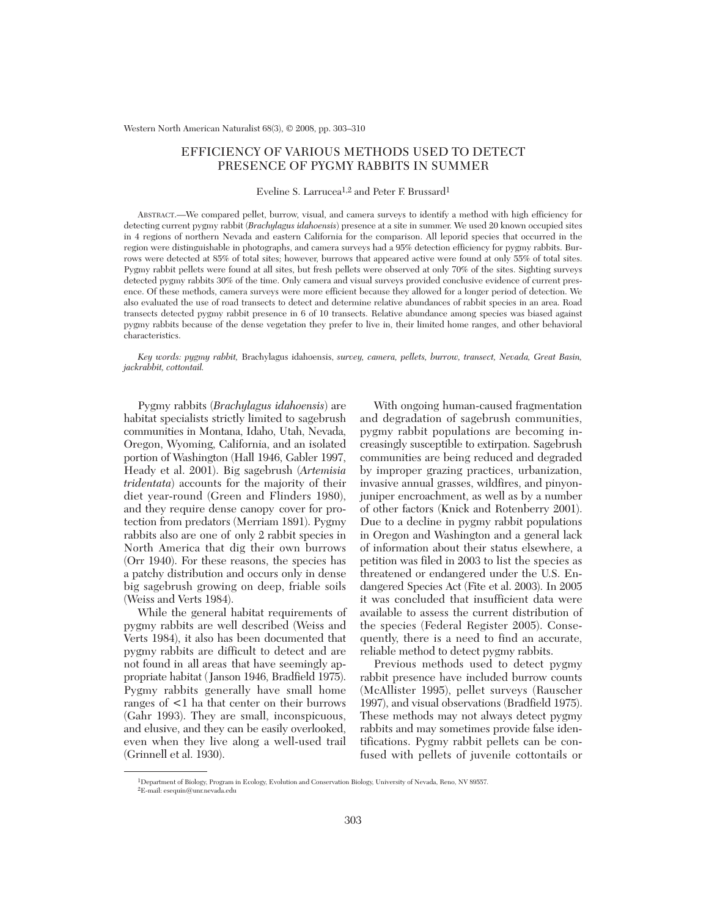# EFFICIENCY OF VARIOUS METHODS USED TO DETECT PRESENCE OF PYGMY RABBITS IN SUMMER

## Eveline S. Larrucea1,2 and Peter F. Brussard1

ABSTRACT.—We compared pellet, burrow, visual, and camera surveys to identify a method with high efficiency for detecting current pygmy rabbit (*Brachylagus idahoensis*) presence at a site in summer. We used 20 known occupied sites in 4 regions of northern Nevada and eastern California for the comparison. All leporid species that occurred in the region were distinguishable in photographs, and camera surveys had a 95% detection efficiency for pygmy rabbits. Burrows were detected at 85% of total sites; however, burrows that appeared active were found at only 55% of total sites. Pygmy rabbit pellets were found at all sites, but fresh pellets were observed at only 70% of the sites. Sighting surveys detected pygmy rabbits 30% of the time. Only camera and visual surveys provided conclusive evidence of current presence. Of these methods, camera surveys were more efficient because they allowed for a longer period of detection. We also evaluated the use of road transects to detect and determine relative abundances of rabbit species in an area. Road transects detected pygmy rabbit presence in 6 of 10 transects. Relative abundance among species was biased against pygmy rabbits because of the dense vegetation they prefer to live in, their limited home ranges, and other behavioral characteristics.

*Key words: pygmy rabbit,* Brachylagus idahoensis, *survey, camera, pellets, burrow, transect, Nevada, Great Basin, jackrabbit, cottontail.*

Pygmy rabbits (*Brachylagus idahoensis*) are habitat specialists strictly limited to sagebrush communities in Montana, Idaho, Utah, Nevada, Oregon, Wyoming, California, and an isolated portion of Washington (Hall 1946, Gabler 1997, Heady et al. 2001). Big sagebrush (*Artemisia tridentata*) accounts for the majority of their diet year-round (Green and Flinders 1980), and they require dense can opy cover for protection from predators (Merriam 1891). Pygmy rabbits also are one of only 2 rabbit species in North America that dig their own burrows (Orr 1940). For these reasons, the species has a patchy distribution and occurs only in dense big sagebrush growing on deep, friable soils (Weiss and Verts 1984).

While the general habitat requirements of pygmy rabbits are well described (Weiss and Verts 1984), it also has been documented that pygmy rabbits are difficult to detect and are not found in all areas that have seemingly appropriate habitat ( Janson 1946, Bradfield 1975). Pygmy rabbits generally have small home ranges of <1 ha that center on their burrows (Gahr 1993). They are small, inconspicuous, and elusive, and they can be easily overlooked, even when they live along a well-used trail (Grinnell et al. 1930).

With ongoing human-caused fragmentation and degradation of sagebrush communities, pygmy rabbit populations are becoming increasingly susceptible to extirpation. Sagebrush communities are being reduced and degraded by improper grazing practices, urbanization, invasive annual grasses, wildfires, and pinyonjuniper encroachment, as well as by a number of other factors (Knick and Rotenberry 2001). Due to a decline in pygmy rabbit populations in Oregon and Washington and a general lack of information about their status elsewhere, a petition was filed in 2003 to list the species as threatened or endangered under the U.S. En dangered Species Act (Fite et al. 2003). In 2005 it was concluded that insufficient data were available to assess the current distribution of the species (Federal Register 2005). Consequently, there is a need to find an accurate, reliable method to detect pygmy rabbits.

Previous methods used to detect pygmy rabbit presence have included burrow counts (McAllister 1995), pellet surveys (Rauscher 1997), and visual observations (Bradfield 1975). These methods may not always detect pygmy rabbits and may sometimes provide false identifications. Pygmy rabbit pellets can be confused with pellets of juvenile cottontails or

<sup>1</sup>Department of Biology, Program in Ecology, Evolution and Conservation Biology, University of Nevada, Reno, NV 89557.  ${}^{2}E$ -mail: esequin@unr.nevada.edu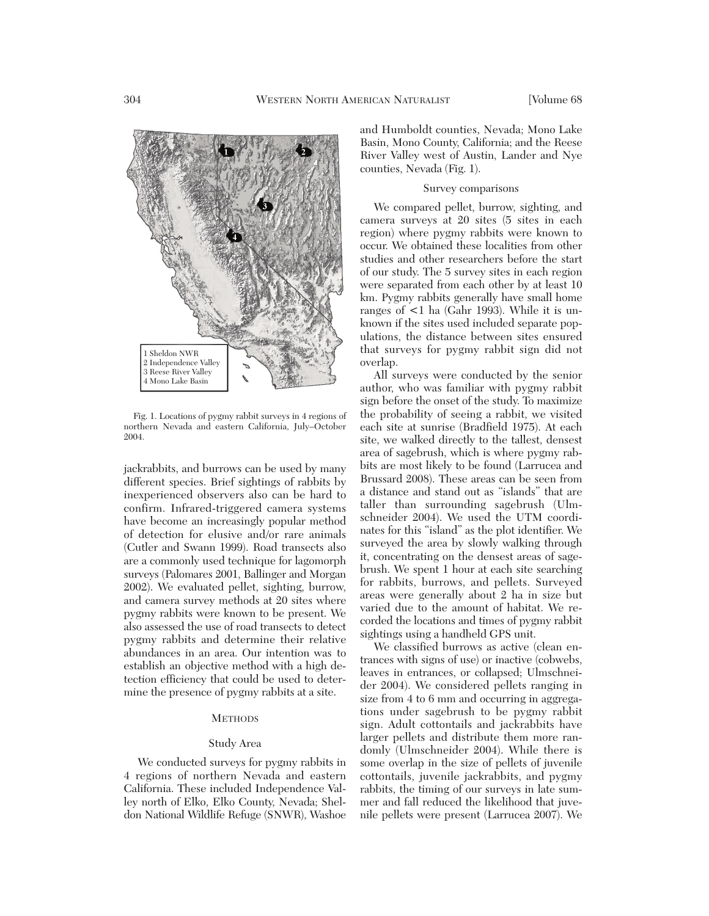

Fig. 1. Locations of pygmy rabbit surveys in 4 regions of northern Nevada and eastern California, July–October 2004.

jackrabbits, and burrows can be used by many different species. Brief sightings of rabbits by inexperienced observers also can be hard to confirm. Infrared-triggered camera systems have become an increasingly popular method of detection for elusive and/or rare animals (Cutler and Swann 1999). Road transects also are a commonly used technique for lagomorph surveys (Palomares 2001, Ballinger and Morgan 2002). We evaluated pellet, sighting, burrow, and camera survey methods at 20 sites where pygmy rabbits were known to be present. We also assessed the use of road tran sects to detect pygmy rabbits and determine their relative abundances in an area. Our intention was to establish an objective method with a high detection efficiency that could be used to determine the presence of pygmy rabbits at a site.

## **METHODS**

## Study Area

We conducted surveys for pygmy rabbits in 4 regions of northern Nevada and eastern California. These included Independence Valley north of Elko, Elko County, Nevada; Sheldon National Wildlife Refuge (SNWR), Washoe

and Humboldt counties, Nevada; Mono Lake Basin, Mono County, California; and the Reese River Valley west of Austin, Lander and Nye counties, Nevada (Fig. 1).

## Survey comparisons

We compared pellet, burrow, sighting, and camera surveys at 20 sites (5 sites in each region) where pygmy rabbits were known to occur. We obtained these localities from other studies and other researchers before the start of our study. The 5 survey sites in each region were separated from each other by at least 10 km. Pygmy rabbits generally have small home ranges of  $\leq 1$  ha (Gahr 1993). While it is unknown if the sites used included separate populations, the distance between sites ensured that surveys for pygmy rabbit sign did not overlap.

All surveys were conducted by the senior author, who was familiar with pygmy rabbit sign before the onset of the study. To maximize the probability of seeing a rabbit, we visited each site at sunrise (Bradfield 1975). At each site, we walked directly to the tallest, densest area of sagebrush, which is where pygmy rabbits are most likely to be found (Larrucea and Brussard 2008). These areas can be seen from a distance and stand out as "islands" that are taller than surrounding sagebrush (Ulmschneider 2004). We used the UTM coordinates for this "island" as the plot identifier. We surveyed the area by slowly walking through it, concentrating on the densest areas of sagebrush. We spent 1 hour at each site searching for rabbits, burrows, and pellets. Surveyed areas were generally about 2 ha in size but varied due to the amount of habitat. We recorded the locations and times of pygmy rabbit sightings using a handheld GPS unit.

We classified burrows as active (clean entrances with signs of use) or inactive (cobwebs, leaves in entrances, or collapsed; Ulmschneider 2004). We considered pellets ranging in size from 4 to 6 mm and occurring in aggregations under sagebrush to be pygmy rabbit sign. Adult cottontails and jackrabbits have larger pellets and distribute them more randomly (Ulmschneider 2004). While there is some overlap in the size of pellets of juvenile cottontails, juvenile jackrabbits, and pygmy rabbits, the timing of our surveys in late summer and fall reduced the likelihood that juvenile pellets were present (Larrucea 2007). We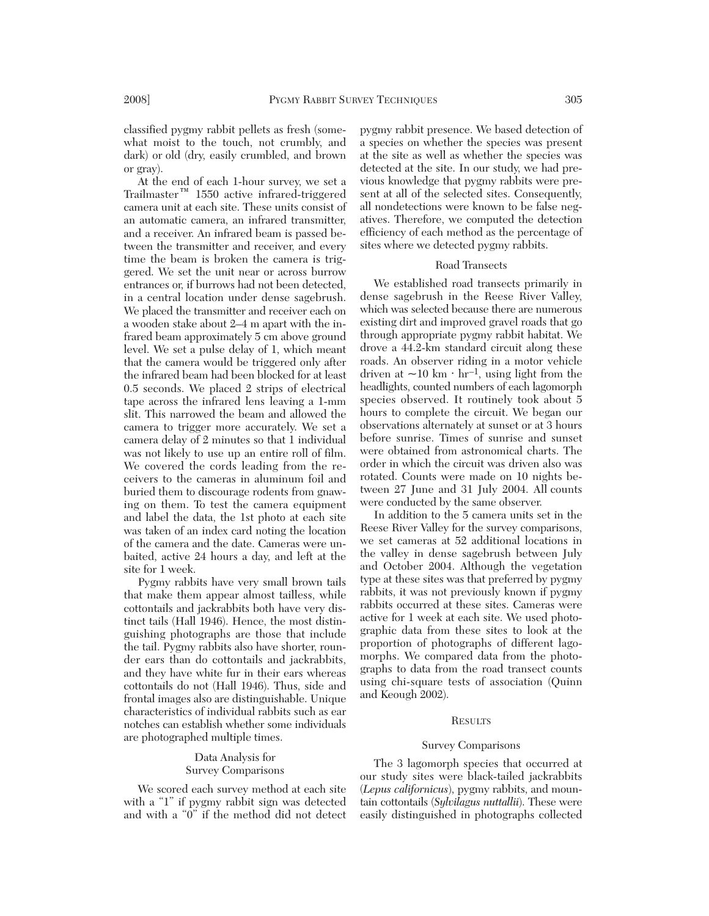classified pygmy rabbit pellets as fresh (some what moist to the touch, not crumbly, and dark) or old (dry, easily crumbled, and brown or gray).

At the end of each 1-hour survey, we set a Trailmaster™ 1550 active infrared-triggered camera unit at each site. These units consist of an automatic camera, an infrared transmitter, and a receiver. An infrared beam is passed be tween the transmitter and receiver, and every time the beam is broken the camera is triggered. We set the unit near or across burrow entrances or, if burrows had not been detected, in a central location under dense sagebrush. We placed the transmitter and receiver each on a wooden stake about 2–4 m apart with the infrared beam approximately 5 cm above ground level. We set a pulse delay of 1, which meant that the camera would be triggered only after the infrared beam had been blocked for at least 0.5 seconds. We placed 2 strips of electrical tape across the infrared lens leaving a 1-mm slit. This narrowed the beam and allowed the camera to trigger more accurately. We set a camera delay of 2 minutes so that 1 individual was not likely to use up an entire roll of film. We covered the cords leading from the receivers to the cameras in aluminum foil and buried them to discourage rodents from gnawing on them. To test the camera equipment and label the data, the 1st photo at each site was taken of an index card noting the location of the camera and the date. Cameras were un baited, active 24 hours a day, and left at the site for 1 week.

Pygmy rabbits have very small brown tails that make them appear almost tailless, while cottontails and jackrabbits both have very dis tinct tails (Hall 1946). Hence, the most distinguishing photographs are those that include the tail. Pygmy rabbits also have shorter, rounder ears than do cottontails and jackrabbits, and they have white fur in their ears whereas cottontails do not (Hall 1946). Thus, side and frontal images also are distinguishable. Unique characteristics of individual rabbits such as ear notches can establish whether some individuals are photographed multiple times.

## Data Analysis for Survey Comparisons

We scored each survey method at each site with a "1" if pygmy rabbit sign was detected and with a "0" if the method did not detect pygmy rabbit presence. We based detection of a species on whether the species was present at the site as well as whether the species was detected at the site. In our study, we had previous knowledge that pygmy rabbits were present at all of the selected sites. Consequently, all nondetections were known to be false negatives. Therefore, we computed the detection efficiency of each method as the percentage of sites where we detected pygmy rabbits.

## Road Transects

We established road transects primarily in dense sagebrush in the Reese River Valley, which was selected because there are numerous existing dirt and improved gravel roads that go through appropriate pygmy rabbit habitat. We drove a 44.2-km standard circuit along these roads. An observer riding in a motor vehicle driven at  $\sim$ 10 km · hr<sup>-1</sup>, using light from the headlights, counted numbers of each lagomorph species observed. It routinely took about 5 hours to complete the circuit. We began our observations alternately at sunset or at 3 hours before sunrise. Times of sunrise and sunset were obtained from astronomical charts. The order in which the circuit was driven also was rotated. Counts were made on 10 nights be tween 27 June and 31 July 2004. All counts were conducted by the same observer.

In addition to the 5 camera units set in the Reese River Valley for the survey comparisons, we set cameras at 52 additional locations in the valley in dense sagebrush between July and October 2004. Although the vegetation type at these sites was that preferred by pygmy rabbits, it was not previously known if pygmy rabbits occurred at these sites. Cameras were active for 1 week at each site. We used photographic data from these sites to look at the proportion of photographs of different lagomorphs. We compared data from the photographs to data from the road transect counts using chi-square tests of association (Quinn and Keough 2002).

#### **RESULTS**

## Survey Comparisons

The 3 lagomorph species that occurred at our study sites were black-tailed jackrabbits (*Lepus californicus*), pygmy rabbits, and mountain cottontails (*Sylvilagus nuttallii*). These were easily distinguished in photographs collected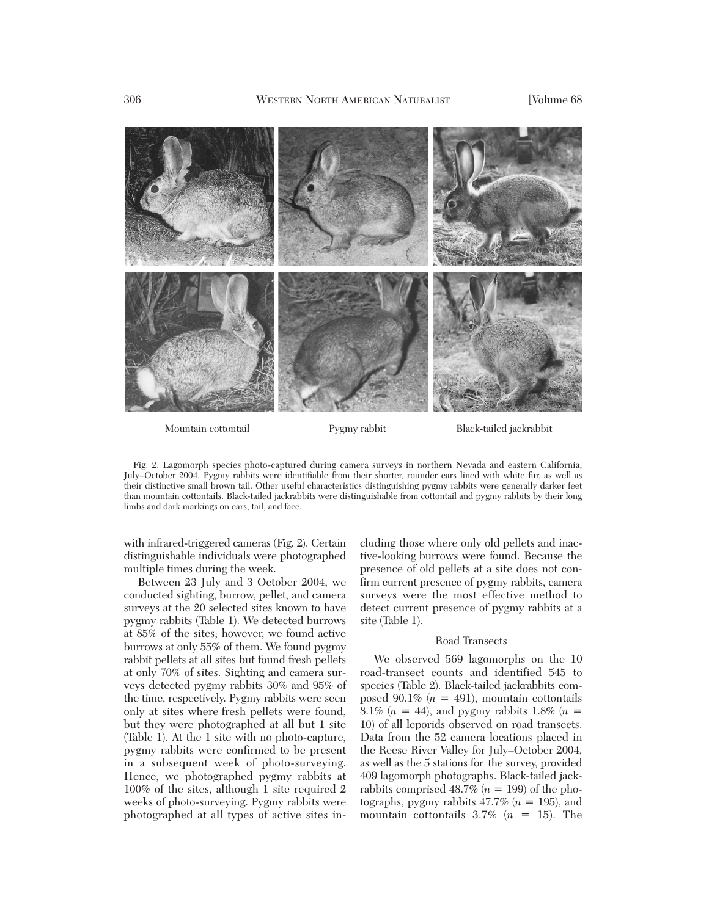

Mountain cottontail Pygmy rabbit Black-tailed jackrabbit

Fig. 2. Lagomorph species photo-captured during camera surveys in northern Nevada and eastern California, July–October 2004. Pygmy rabbits were identifiable from their shorter, rounder ears lined with white fur, as well as their distinctive small brown tail. Other useful characteristics distinguishing pygmy rabbits were generally darker feet than mountain cottontails. Black-tailed jackrabbits were distinguishable from cottontail and pygmy rabbits by their long limbs and dark markings on ears, tail, and face.

with infrared-triggered cameras (Fig. 2). Certain distinguishable individuals were photographed multiple times during the week.

Between 23 July and 3 October 2004, we conducted sighting, burrow, pellet, and camera surveys at the 20 selected sites known to have pygmy rabbits (Table 1). We detected burrows at 85% of the sites; however, we found active burrows at only 55% of them. We found pygmy rabbit pellets at all sites but found fresh pellets at only 70% of sites. Sighting and camera surveys detected pygmy rabbits 30% and 95% of the time, respectively. Pygmy rabbits were seen only at sites where fresh pellets were found, but they were photographed at all but 1 site (Table 1). At the 1 site with no photo-capture, pygmy rabbits were confirmed to be present in a subsequent week of photo-surveying. Hence, we photographed pygmy rabbits at 100% of the sites, although 1 site required 2 weeks of photo-surveying. Pygmy rabbits were photographed at all types of active sites in -

cluding those where only old pellets and inactive-looking burrows were found. Because the presence of old pellets at a site does not confirm current presence of pygmy rabbits, camera surveys were the most effective method to detect current presence of pygmy rabbits at a site (Table 1).

### Road Transects

We observed 569 lagomorphs on the 10 road-transect counts and identified 545 to species (Table 2). Black-tailed jackrabbits composed 90.1%  $(n = 491)$ , mountain cottontails 8.1% ( $n = 44$ ), and pygmy rabbits 1.8% ( $n = 8$ ) 10) of all leporids observed on road transects. Data from the 52 camera locations placed in the Reese River Valley for July–October 2004, as well as the 5 stations for the survey, provided 409 lagomorph photographs. Black-tailed jack rabbits comprised  $48.7\%$  ( $n = 199$ ) of the photographs, pygmy rabbits  $47.7\%$  ( $n = 195$ ), and mountain cotton tails  $3.7\%$  ( $n = 15$ ). The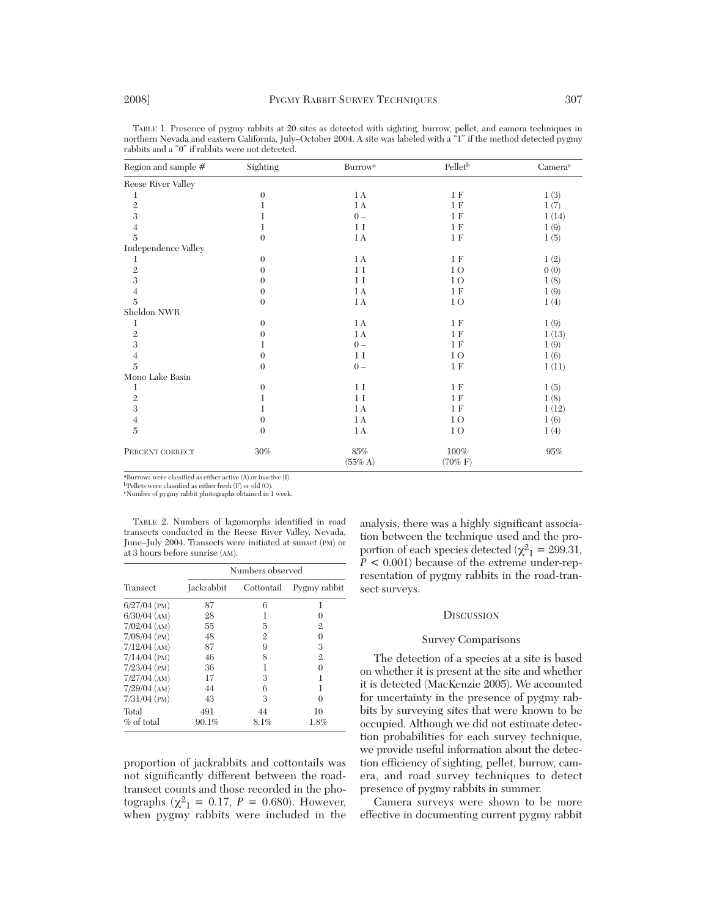| Region and sample $#$ | Sighting         | $\rm{Burrow^a}$   | Pellet <sup>b</sup>        | Camera <sup>c</sup> |
|-----------------------|------------------|-------------------|----------------------------|---------------------|
| Reese River Valley    |                  |                   |                            |                     |
| 1                     | $\boldsymbol{0}$ | 1A                | 1 F                        | 1(3)                |
| $\mathbf 2$           | 1                | 1A                | 1 F                        | 1(7)                |
| 3                     | 1                | $0 -$             | 1 F                        | 1(14)               |
| $\overline{4}$        | 1                | 1 I               | 1 F                        | 1(9)                |
| $\overline{5}$        | $\theta$         | 1A                | 1 F                        | 1(5)                |
| Independence Valley   |                  |                   |                            |                     |
| 1                     | $\theta$         | 1A                | 1 F                        | 1(2)                |
| $\sqrt{2}$            | $\theta$         | 1 I               | 10                         | 0(0)                |
| 3                     | $\Omega$         | 1I                | 10                         | 1(8)                |
| $\overline{4}$        | $\theta$         | 1A                | 1 F                        | 1(9)                |
| $\overline{5}$        | $\theta$         | 1A                | 1 <sub>O</sub>             | 1(4)                |
| Sheldon NWR           |                  |                   |                            |                     |
| 1                     | $\theta$         | 1A                | 1 F                        | 1(9)                |
| $\mathbf 2$           | $\theta$         | 1A                | 1 F                        | 1(13)               |
| 3                     | 1                | $0 -$             | 1 F                        | 1(9)                |
| $\,4$                 | $\theta$         | 1 I               | 10                         | 1(6)                |
| $\overline{5}$        | $\Omega$         | $0 -$             | 1 F                        | 1(11)               |
| Mono Lake Basin       |                  |                   |                            |                     |
| 1                     | $\theta$         | 1I                | 1 F                        | 1(5)                |
| $\sqrt{2}$            | 1                | 1 I               | 1 F                        | 1(8)                |
| 3                     | 1                | 1A                | 1 F                        | 1(12)               |
| $\,4\,$               | $\theta$         | 1A                | 10                         | 1(6)                |
| $\rm 5$               | $\mathbf{0}$     | 1A                | 10                         | 1(4)                |
| PERCENT CORRECT       | 30%              | 85%<br>$(55\% A)$ | 100%<br>$(70\% \text{ F})$ | 95%                 |

TABLE 1. Presence of pygmy rabbits at 20 sites as detected with sighting, burrow, pellet, and camera techniques in northern Nevada and eastern California, July–October 2004. A site was labeled with a "1" if the method detected pygmy rabbits and a "0" if rabbits were not detected.

 $a$ Burrows were classified as either active (A) or inactive (I).

bPellets were classified as either fresh (F) or old (O).

cNumber of pygmy rabbit photographs obtained in 1 week.

TABLE 2. Numbers of lagomorphs identified in road transects conducted in the Reese River Valley, Nevada, June–July 2004. Transects were initiated at sunset (PM) or at 3 hours before sunrise (AM).

|                 | Numbers observed |            |                   |  |  |
|-----------------|------------------|------------|-------------------|--|--|
| <b>Transect</b> | Jackrabbit       | Cottontail | Pygmy rabbit      |  |  |
| $6/27/04$ (PM)  | 87               | 6          | 1                 |  |  |
| $6/30/04$ (AM)  | 28               |            | $\mathbf{0}$      |  |  |
| $7/02/04$ (AM)  | 55               | 5          | 2                 |  |  |
| $7/08/04$ (PM)  | 48               | 2          | $\Omega$          |  |  |
| $7/12/04$ (AM)  | 87               | 9          | 3                 |  |  |
| $7/14/04$ (PM)  | 46               | 8          | $\overline{2}$    |  |  |
| $7/23/04$ (PM)  | 36               |            | 0                 |  |  |
| $7/27/04$ (AM)  | 17               | 3          |                   |  |  |
| $7/29/04$ (AM)  | 44               | 6          |                   |  |  |
| $7/31/04$ (PM)  | 43               | 3          | $\mathbf{\Omega}$ |  |  |
| Total           | 491              | 44         | 10                |  |  |
| $%$ of total    | 90.1%            | 8.1%       | 1.8%              |  |  |

proportion of jackrabbits and cottontails was not significantly different between the roadtransect counts and those recorded in the photographs ( $\chi^2$ <sub>1</sub> = 0.17, *P* = 0.680). However, when pygmy rabbits were included in the

analysis, there was a highly significant association between the technique used and the proportion of each species detected  $(\chi^2$ <sub>1</sub> = 299.31, *P* < 0.001) because of the extreme under-representation of pygmy rabbits in the road-transect surveys.

### **DISCUSSION**

### Survey Comparisons

The detection of a species at a site is based on whether it is present at the site and whether it is detected (MacKenzie 2005). We accounted for uncertainty in the presence of pygmy rabbits by surveying sites that were known to be occupied. Although we did not estimate detection probabilities for each survey technique, we provide useful information about the detection efficiency of sighting, pellet, burrow, cam era, and road survey techniques to detect presence of pygmy rabbits in summer.

Camera surveys were shown to be more effective in documenting current pygmy rabbit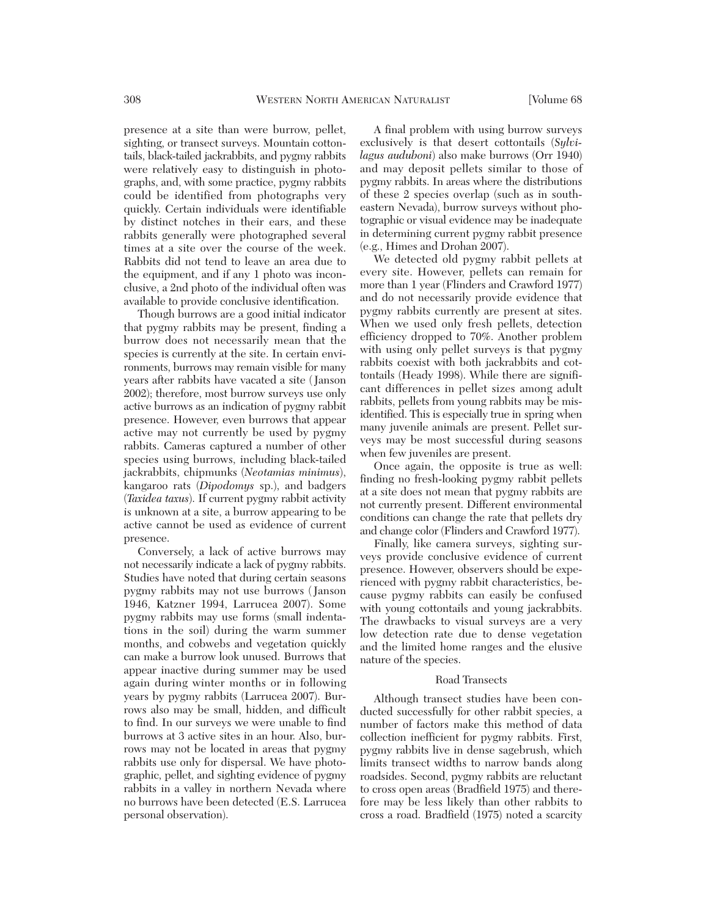presence at a site than were burrow, pellet, sighting, or transect surveys. Mountain cottontails, black-tailed jackrabbits, and pygmy rabbits were relatively easy to distinguish in photographs, and, with some practice, pygmy rabbits could be identified from photographs very quickly. Certain individuals were identifiable by distinct notches in their ears, and these rabbits generally were photographed several times at a site over the course of the week. Rabbits did not tend to leave an area due to the equipment, and if any 1 photo was inconclusive, a 2nd photo of the individual often was available to provide conclusive identification.

Though burrows are a good initial indicator that pygmy rabbits may be present, finding a burrow does not necessarily mean that the species is currently at the site. In certain environments, burrows may remain visible for many years after rabbits have vacated a site ( Janson 2002); therefore, most burrow surveys use only active burrows as an indication of pygmy rabbit presence. However, even burrows that appear active may not currently be used by pygmy rabbits. Cameras captured a number of other species using burrows, including black-tailed jackrabbits, chipmunks (*Neotamias minimus*), kangaroo rats (*Dipodomys* sp.), and badgers (*Taxidea taxus*). If current pygmy rabbit activity is unknown at a site, a burrow appearing to be active cannot be used as evidence of current presence.

Conversely, a lack of active burrows may not necessarily indicate a lack of pygmy rabbits. Studies have noted that during certain seasons pygmy rabbits may not use burrows ( Janson 1946, Katzner 1994, Larrucea 2007). Some pygmy rabbits may use forms (small indentations in the soil) during the warm summer months, and cobwebs and vegetation quickly can make a burrow look unused. Burrows that appear inactive during summer may be used again during winter months or in following years by pygmy rabbits (Larrucea 2007). Burrows also may be small, hidden, and difficult to find. In our surveys we were unable to find burrows at 3 active sites in an hour. Also, burrows may not be located in areas that pygmy rabbits use only for dispersal. We have photographic, pellet, and sighting evidence of pygmy rabbits in a valley in northern Nevada where no burrows have been detected (E.S. Larrucea personal observation).

A final problem with using burrow surveys exclusively is that desert cottontails (*Sylvi lagus auduboni*) also make burrows (Orr 1940) and may deposit pellets similar to those of pygmy rabbits. In areas where the distributions of these 2 species overlap (such as in southeastern Nevada), burrow surveys without photographic or visual evidence may be inadequate in determining current pygmy rabbit presence (e.g., Himes and Drohan 2007).

We detected old pygmy rabbit pellets at every site. However, pellets can remain for more than 1 year (Flinders and Crawford 1977) and do not necessarily provide evidence that pygmy rabbits currently are present at sites. When we used only fresh pellets, detection efficiency dropped to 70%. Another problem with using only pellet surveys is that pygmy rabbits coexist with both jackrabbits and cottontails (Heady 1998). While there are significant differences in pellet sizes among adult rabbits, pellets from young rabbits may be misidentified. This is especially true in spring when many juvenile animals are present. Pellet surveys may be most successful during seasons when few juveniles are present.

Once again, the opposite is true as well: finding no fresh-looking pygmy rabbit pellets at a site does not mean that pygmy rabbits are not currently present. Different environmental conditions can change the rate that pellets dry and change color (Flinders and Crawford 1977).

Finally, like camera surveys, sighting surveys provide conclusive evidence of current presence. However, observers should be experienced with pygmy rabbit characteristics, be cause pygmy rabbits can easily be confused with young cottontails and young jackrabbits. The drawbacks to visual surveys are a very low detection rate due to dense vegetation and the limited home ranges and the elusive nature of the species.

### Road Transects

Although transect studies have been conducted successfully for other rabbit species, a number of factors make this method of data collection inefficient for pygmy rabbits. First, pygmy rabbits live in dense sagebrush, which limits transect widths to narrow bands along roadsides. Second, pygmy rabbits are reluctant to cross open areas (Bradfield 1975) and therefore may be less likely than other rabbits to cross a road. Bradfield (1975) noted a scarcity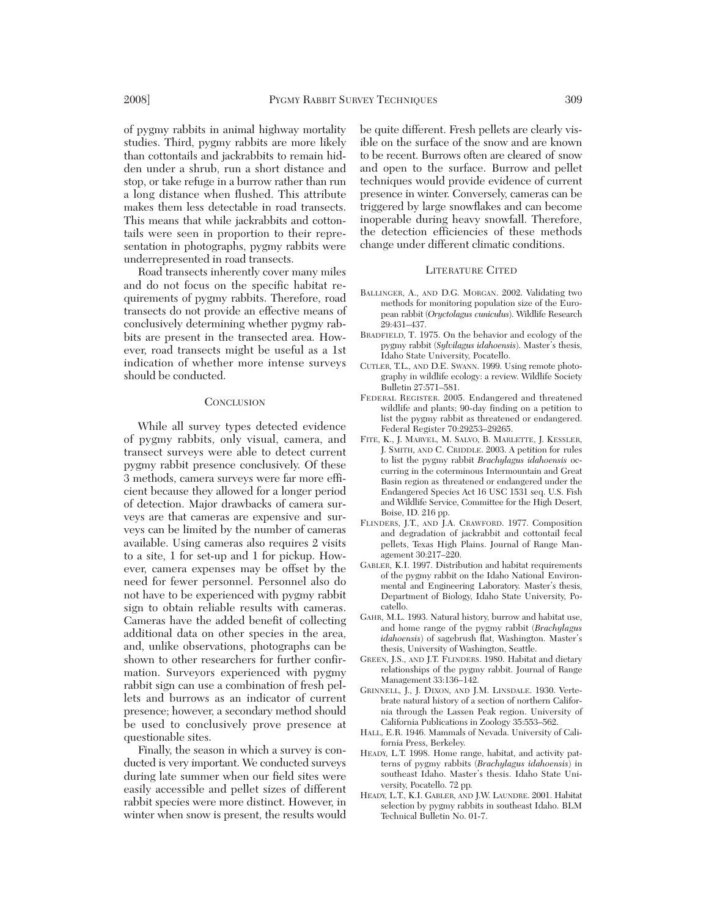of pygmy rabbits in animal highway mortality studies. Third, pygmy rabbits are more likely than cottontails and jackrabbits to remain hidden under a shrub, run a short distance and stop, or take refuge in a burrow rather than run a long distance when flushed. This attribute makes them less detectable in road transects. This means that while jackrabbits and cottontails were seen in proportion to their representation in photographs, pygmy rabbits were underrepresented in road transects.

Road transects inherently cover many miles and do not focus on the specific habitat re quirements of pygmy rabbits. Therefore, road transects do not provide an effective means of conclusively determining whether pygmy rabbits are present in the transected area. However, road transects might be useful as a 1st indication of whether more intense surveys should be conducted.

#### **CONCLUSION**

While all survey types detected evidence of pygmy rabbits, only visual, camera, and transect surveys were able to detect current pygmy rabbit presence conclusively. Of these 3 methods, camera surveys were far more efficient because they allowed for a longer period of detection. Major drawbacks of camera surveys are that cameras are expensive and surveys can be limited by the number of cameras available. Using cameras also requires 2 visits to a site, 1 for set-up and 1 for pickup. However, camera expenses may be offset by the need for fewer personnel. Personnel also do not have to be experienced with pygmy rabbit sign to obtain reliable results with cameras. Cameras have the added benefit of collecting additional data on other species in the area, and, unlike observations, photographs can be shown to other researchers for further confirmation. Surveyors experienced with pygmy rabbit sign can use a combination of fresh pellets and burrows as an indicator of current presence; however, a secondary method should be used to conclusively prove presence at questionable sites.

Finally, the season in which a survey is conducted is very important. We conducted surveys during late summer when our field sites were easily accessible and pellet sizes of different rabbit species were more distinct. However, in winter when snow is present, the results would be quite different. Fresh pellets are clearly visible on the surface of the snow and are known to be recent. Burrows often are cleared of snow and open to the surface. Burrow and pellet techniques would provide evidence of current presence in winter. Conversely, cameras can be triggered by large snowflakes and can become inoperable during heavy snowfall. Therefore, the detection efficiencies of these methods change under different climatic conditions.

#### LITERATURE CITED

- BALLINGER, A., AND D.G. MORGAN. 2002. Validating two methods for monitoring population size of the European rabbit (*Oryctolagus cuniculus*). Wildlife Research 29:431–437.
- BRADFIELD, T. 1975. On the behavior and ecology of the pygmy rabbit (*Sylvilagus idahoensis*). Master's thesis, Idaho State University, Pocatello.
- CUTLER, T.L., AND D.E. SWANN. 1999. Using remote photography in wildlife ecology: a review. Wildlife Society Bulletin 27:571–581.
- FEDERAL REGISTER. 2005. Endangered and threatened wildlife and plants; 90-day finding on a petition to list the pygmy rabbit as threatened or endangered. Federal Register 70:29253–29265.
- FITE, K., J. MARVEL, M. SALVO, B. MARLETTE, J. KESSLER, J. SMITH, AND C. CRIDDLE. 2003. A petition for rules to list the pygmy rabbit *Brachylagus idahoensis* oc curring in the coterminous Intermountain and Great Basin region as threatened or endangered under the Endangered Species Act 16 USC 1531 seq. U.S. Fish and Wildlife Service, Committee for the High Desert, Boise, ID. 216 pp.
- FLINDERS, J.T., AND J.A. CRAWFORD. 1977. Composition and degradation of jackrabbit and cottontail fecal pellets, Texas High Plains. Journal of Range Management 30:217–220.
- GABLER, K.I. 1997. Distribution and habitat requirements of the pygmy rabbit on the Idaho National Environ mental and Engineering Laboratory. Master's thesis, Department of Biology, Idaho State University, Po catello.
- GAHR, M.L. 1993. Natural history, burrow and habitat use, and home range of the pygmy rabbit (*Brachylagus idahoensis*) of sagebrush flat, Washington. Master's thesis, University of Washington, Seattle.
- GREEN, J.S., AND J.T. FLINDERS. 1980. Habitat and dietary relationships of the pygmy rabbit. Journal of Range Management 33:136–142.
- GRINNELL, J., J. DIXON, AND J.M. LINSDALE. 1930. Vertebrate natural history of a section of northern California through the Lassen Peak region. University of California Publications in Zoology 35:553–562.
- HALL, E.R. 1946. Mammals of Nevada. University of California Press, Berkeley.
- HEADY, L.T. 1998. Home range, habitat, and activity patterns of pygmy rabbits (*Brachylagus idahoensis*) in southeast Idaho. Master's thesis. Idaho State University, Pocatello. 72 pp*.*
- HEADY, L.T., K.I. GABLER, AND J.W. LAUNDRE. 2001. Habitat selection by pygmy rabbits in southeast Idaho. BLM Technical Bulletin No. 01-7.